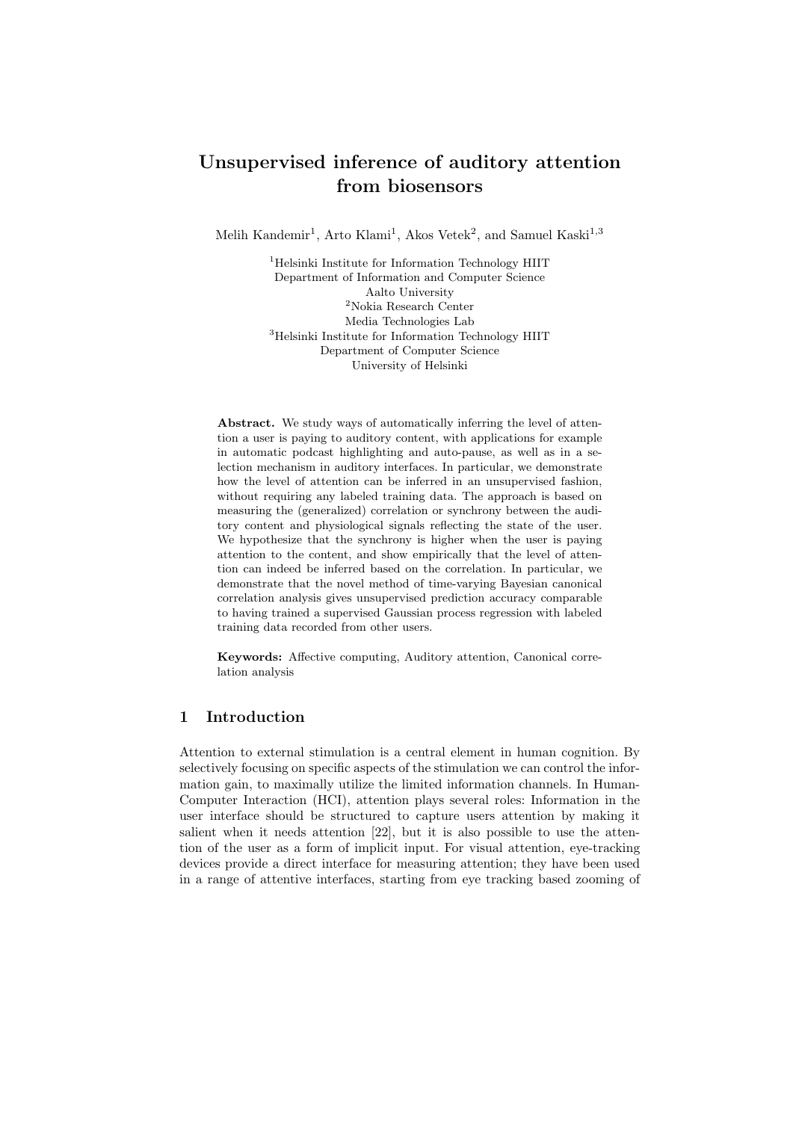# **Unsupervised inference of auditory attention from biosensors**

Melih Kandemir<sup>1</sup>, Arto Klami<sup>1</sup>, Akos Vetek<sup>2</sup>, and Samuel Kaski<sup>1,3</sup>

<sup>1</sup>Helsinki Institute for Information Technology HIIT Department of Information and Computer Science Aalto University <sup>2</sup>Nokia Research Center Media Technologies Lab <sup>3</sup>Helsinki Institute for Information Technology HIIT Department of Computer Science University of Helsinki

**Abstract.** We study ways of automatically inferring the level of attention a user is paying to auditory content, with applications for example in automatic podcast highlighting and auto-pause, as well as in a selection mechanism in auditory interfaces. In particular, we demonstrate how the level of attention can be inferred in an unsupervised fashion, without requiring any labeled training data. The approach is based on measuring the (generalized) correlation or synchrony between the auditory content and physiological signals reflecting the state of the user. We hypothesize that the synchrony is higher when the user is paying attention to the content, and show empirically that the level of attention can indeed be inferred based on the correlation. In particular, we demonstrate that the novel method of time-varying Bayesian canonical correlation analysis gives unsupervised prediction accuracy comparable to having trained a supervised Gaussian process regression with labeled training data recorded from other users.

**Keywords:** Affective computing, Auditory attention, Canonical correlation analysis

# **1 Introduction**

Attention to external stimulation is a central element in human cognition. By selectively focusing on specific aspects of the stimulation we can control the information gain, to maximally utilize the limited information channels. In Human-Computer Interaction (HCI), attention plays several roles: Information in the user interface should be structured to capture users attention by making it salient when it needs attention [22], but it is also possible to use the attention of the user as a form of implicit input. For visual attention, eye-tracking devices provide a direct interface for measuring attention; they have been used in a range of attentive interfaces, starting from eye tracking based zooming of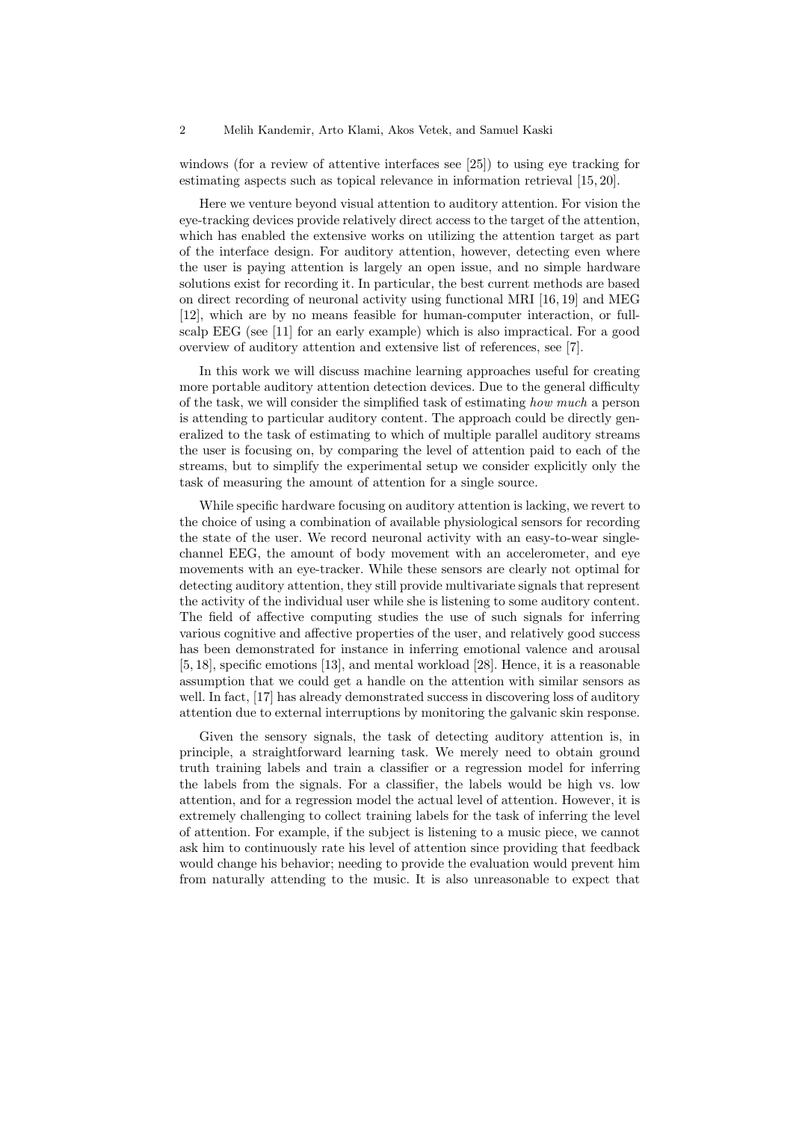windows (for a review of attentive interfaces see [25]) to using eye tracking for estimating aspects such as topical relevance in information retrieval [15, 20].

Here we venture beyond visual attention to auditory attention. For vision the eye-tracking devices provide relatively direct access to the target of the attention, which has enabled the extensive works on utilizing the attention target as part of the interface design. For auditory attention, however, detecting even where the user is paying attention is largely an open issue, and no simple hardware solutions exist for recording it. In particular, the best current methods are based on direct recording of neuronal activity using functional MRI [16, 19] and MEG [12], which are by no means feasible for human-computer interaction, or fullscalp EEG (see [11] for an early example) which is also impractical. For a good overview of auditory attention and extensive list of references, see [7].

In this work we will discuss machine learning approaches useful for creating more portable auditory attention detection devices. Due to the general difficulty of the task, we will consider the simplified task of estimating *how much* a person is attending to particular auditory content. The approach could be directly generalized to the task of estimating to which of multiple parallel auditory streams the user is focusing on, by comparing the level of attention paid to each of the streams, but to simplify the experimental setup we consider explicitly only the task of measuring the amount of attention for a single source.

While specific hardware focusing on auditory attention is lacking, we revert to the choice of using a combination of available physiological sensors for recording the state of the user. We record neuronal activity with an easy-to-wear singlechannel EEG, the amount of body movement with an accelerometer, and eye movements with an eye-tracker. While these sensors are clearly not optimal for detecting auditory attention, they still provide multivariate signals that represent the activity of the individual user while she is listening to some auditory content. The field of affective computing studies the use of such signals for inferring various cognitive and affective properties of the user, and relatively good success has been demonstrated for instance in inferring emotional valence and arousal [5, 18], specific emotions [13], and mental workload [28]. Hence, it is a reasonable assumption that we could get a handle on the attention with similar sensors as well. In fact, [17] has already demonstrated success in discovering loss of auditory attention due to external interruptions by monitoring the galvanic skin response.

Given the sensory signals, the task of detecting auditory attention is, in principle, a straightforward learning task. We merely need to obtain ground truth training labels and train a classifier or a regression model for inferring the labels from the signals. For a classifier, the labels would be high vs. low attention, and for a regression model the actual level of attention. However, it is extremely challenging to collect training labels for the task of inferring the level of attention. For example, if the subject is listening to a music piece, we cannot ask him to continuously rate his level of attention since providing that feedback would change his behavior; needing to provide the evaluation would prevent him from naturally attending to the music. It is also unreasonable to expect that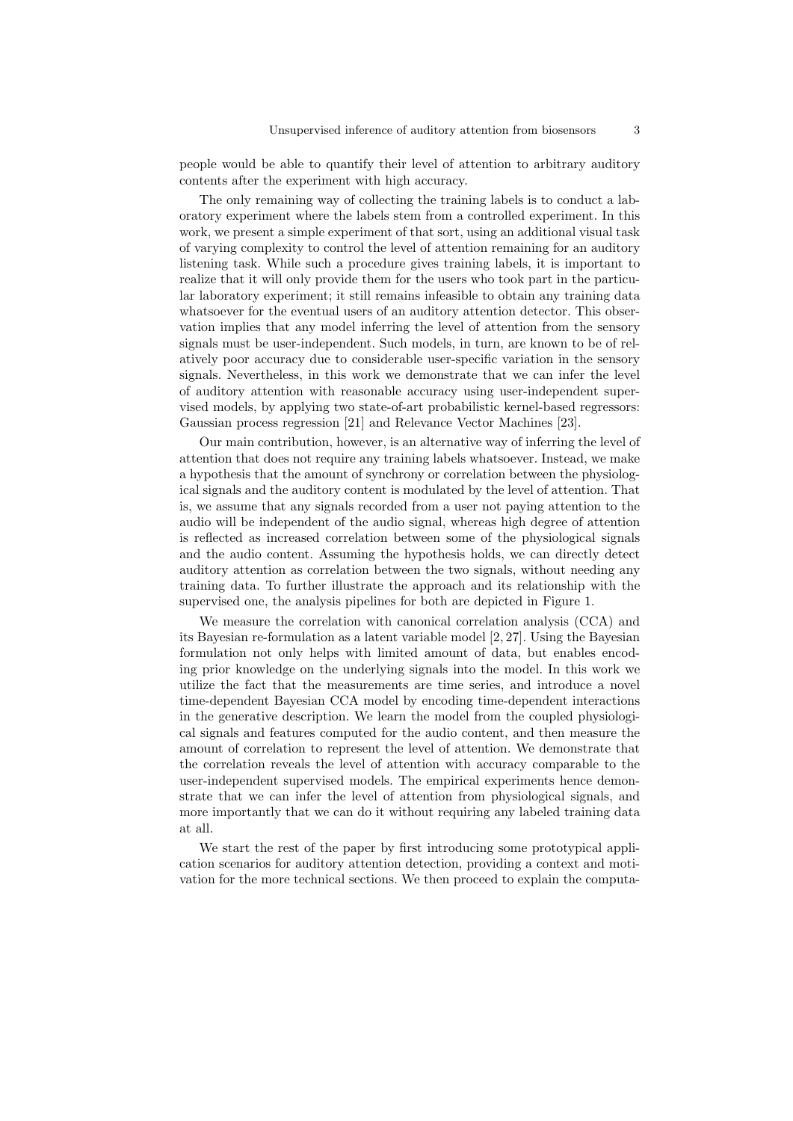people would be able to quantify their level of attention to arbitrary auditory contents after the experiment with high accuracy.

The only remaining way of collecting the training labels is to conduct a laboratory experiment where the labels stem from a controlled experiment. In this work, we present a simple experiment of that sort, using an additional visual task of varying complexity to control the level of attention remaining for an auditory listening task. While such a procedure gives training labels, it is important to realize that it will only provide them for the users who took part in the particular laboratory experiment; it still remains infeasible to obtain any training data whatsoever for the eventual users of an auditory attention detector. This observation implies that any model inferring the level of attention from the sensory signals must be user-independent. Such models, in turn, are known to be of relatively poor accuracy due to considerable user-specific variation in the sensory signals. Nevertheless, in this work we demonstrate that we can infer the level of auditory attention with reasonable accuracy using user-independent supervised models, by applying two state-of-art probabilistic kernel-based regressors: Gaussian process regression [21] and Relevance Vector Machines [23].

Our main contribution, however, is an alternative way of inferring the level of attention that does not require any training labels whatsoever. Instead, we make a hypothesis that the amount of synchrony or correlation between the physiological signals and the auditory content is modulated by the level of attention. That is, we assume that any signals recorded from a user not paying attention to the audio will be independent of the audio signal, whereas high degree of attention is reflected as increased correlation between some of the physiological signals and the audio content. Assuming the hypothesis holds, we can directly detect auditory attention as correlation between the two signals, without needing any training data. To further illustrate the approach and its relationship with the supervised one, the analysis pipelines for both are depicted in Figure 1.

We measure the correlation with canonical correlation analysis (CCA) and its Bayesian re-formulation as a latent variable model [2, 27]. Using the Bayesian formulation not only helps with limited amount of data, but enables encoding prior knowledge on the underlying signals into the model. In this work we utilize the fact that the measurements are time series, and introduce a novel time-dependent Bayesian CCA model by encoding time-dependent interactions in the generative description. We learn the model from the coupled physiological signals and features computed for the audio content, and then measure the amount of correlation to represent the level of attention. We demonstrate that the correlation reveals the level of attention with accuracy comparable to the user-independent supervised models. The empirical experiments hence demonstrate that we can infer the level of attention from physiological signals, and more importantly that we can do it without requiring any labeled training data at all.

We start the rest of the paper by first introducing some prototypical application scenarios for auditory attention detection, providing a context and motivation for the more technical sections. We then proceed to explain the computa-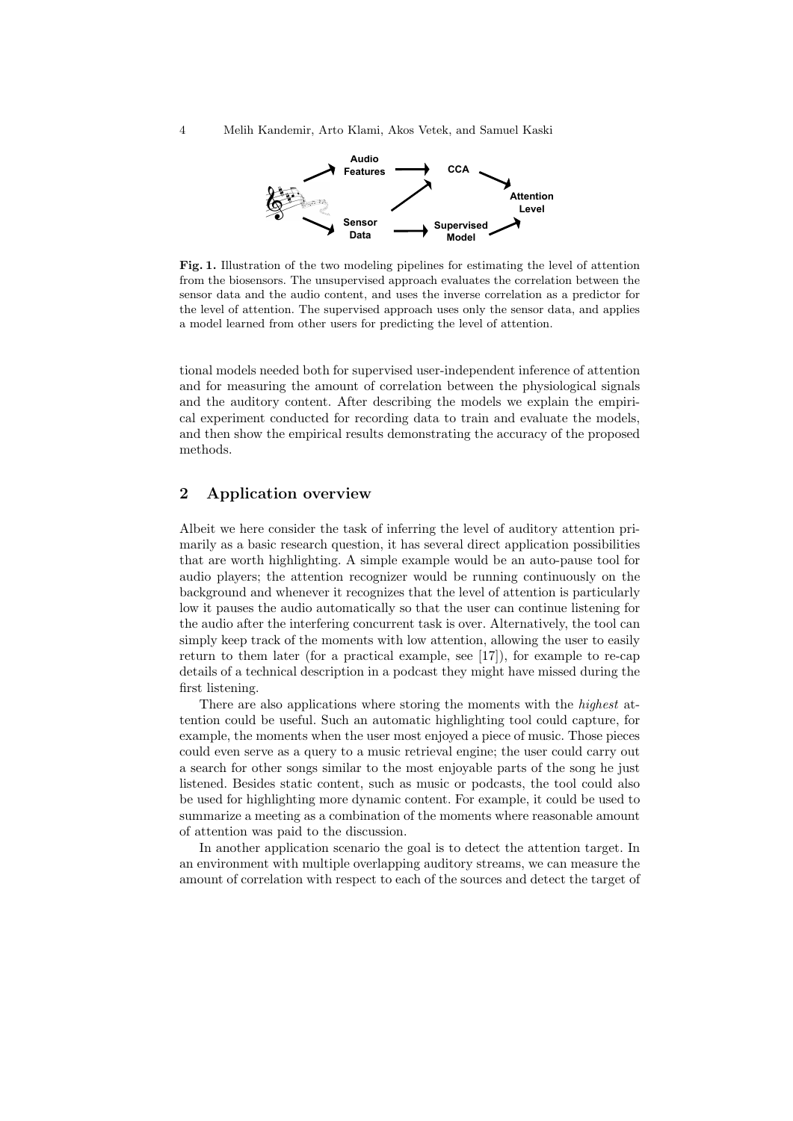

**Fig. 1.** Illustration of the two modeling pipelines for estimating the level of attention from the biosensors. The unsupervised approach evaluates the correlation between the sensor data and the audio content, and uses the inverse correlation as a predictor for the level of attention. The supervised approach uses only the sensor data, and applies a model learned from other users for predicting the level of attention.

tional models needed both for supervised user-independent inference of attention and for measuring the amount of correlation between the physiological signals and the auditory content. After describing the models we explain the empirical experiment conducted for recording data to train and evaluate the models, and then show the empirical results demonstrating the accuracy of the proposed methods.

# **2 Application overview**

Albeit we here consider the task of inferring the level of auditory attention primarily as a basic research question, it has several direct application possibilities that are worth highlighting. A simple example would be an auto-pause tool for audio players; the attention recognizer would be running continuously on the background and whenever it recognizes that the level of attention is particularly low it pauses the audio automatically so that the user can continue listening for the audio after the interfering concurrent task is over. Alternatively, the tool can simply keep track of the moments with low attention, allowing the user to easily return to them later (for a practical example, see [17]), for example to re-cap details of a technical description in a podcast they might have missed during the first listening.

There are also applications where storing the moments with the *highest* attention could be useful. Such an automatic highlighting tool could capture, for example, the moments when the user most enjoyed a piece of music. Those pieces could even serve as a query to a music retrieval engine; the user could carry out a search for other songs similar to the most enjoyable parts of the song he just listened. Besides static content, such as music or podcasts, the tool could also be used for highlighting more dynamic content. For example, it could be used to summarize a meeting as a combination of the moments where reasonable amount of attention was paid to the discussion.

In another application scenario the goal is to detect the attention target. In an environment with multiple overlapping auditory streams, we can measure the amount of correlation with respect to each of the sources and detect the target of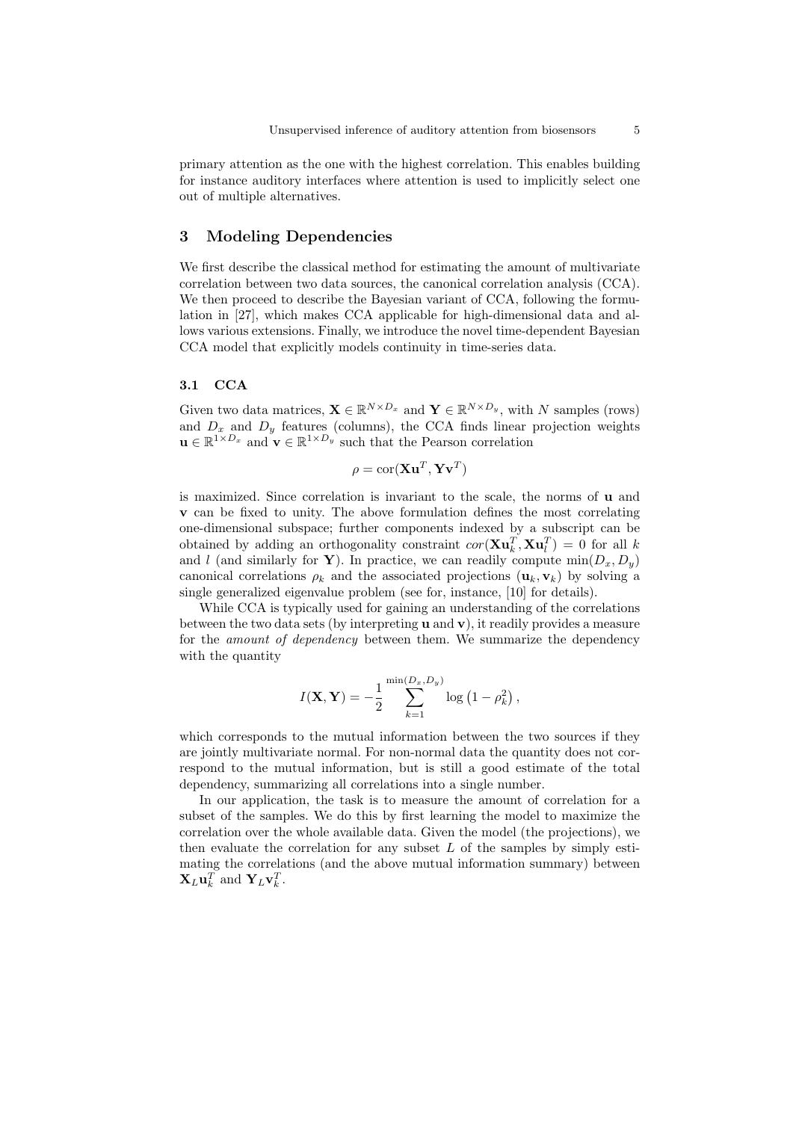primary attention as the one with the highest correlation. This enables building for instance auditory interfaces where attention is used to implicitly select one out of multiple alternatives.

# **3 Modeling Dependencies**

We first describe the classical method for estimating the amount of multivariate correlation between two data sources, the canonical correlation analysis (CCA). We then proceed to describe the Bayesian variant of CCA, following the formulation in [27], which makes CCA applicable for high-dimensional data and allows various extensions. Finally, we introduce the novel time-dependent Bayesian CCA model that explicitly models continuity in time-series data.

# **3.1 CCA**

Given two data matrices,  $\mathbf{X} \in \mathbb{R}^{N \times D_x}$  and  $\mathbf{Y} \in \mathbb{R}^{N \times D_y}$ , with *N* samples (rows) and *D<sup>x</sup>* and *D<sup>y</sup>* features (columns), the CCA finds linear projection weights  $\mathbf{u} \in \mathbb{R}^{1 \times D_x}$  and  $\mathbf{v} \in \mathbb{R}^{1 \times D_y}$  such that the Pearson correlation

$$
\rho = \text{cor}(\mathbf{Xu}^T, \mathbf{Yv}^T)
$$

is maximized. Since correlation is invariant to the scale, the norms of **u** and **v** can be fixed to unity. The above formulation defines the most correlating one-dimensional subspace; further components indexed by a subscript can be obtained by adding an orthogonality constraint  $cor(\mathbf{Xu}_k^T, \mathbf{Xu}_l^T) = 0$  for all *k* and *l* (and similarly for **Y**). In practice, we can readily compute  $\min(D_x, D_y)$ canonical correlations  $\rho_k$  and the associated projections  $(\mathbf{u}_k, \mathbf{v}_k)$  by solving a single generalized eigenvalue problem (see for, instance, [10] for details).

While CCA is typically used for gaining an understanding of the correlations between the two data sets (by interpreting **u** and **v**), it readily provides a measure for the *amount of dependency* between them. We summarize the dependency with the quantity

$$
I(\mathbf{X}, \mathbf{Y}) = -\frac{1}{2} \sum_{k=1}^{\min(D_x, D_y)} \log(1 - \rho_k^2),
$$

which corresponds to the mutual information between the two sources if they are jointly multivariate normal. For non-normal data the quantity does not correspond to the mutual information, but is still a good estimate of the total dependency, summarizing all correlations into a single number.

In our application, the task is to measure the amount of correlation for a subset of the samples. We do this by first learning the model to maximize the correlation over the whole available data. Given the model (the projections), we then evaluate the correlation for any subset *L* of the samples by simply estimating the correlations (and the above mutual information summary) between  $\mathbf{X}_L \mathbf{u}_k^T$  and  $\mathbf{Y}_L \mathbf{v}_k^T$ .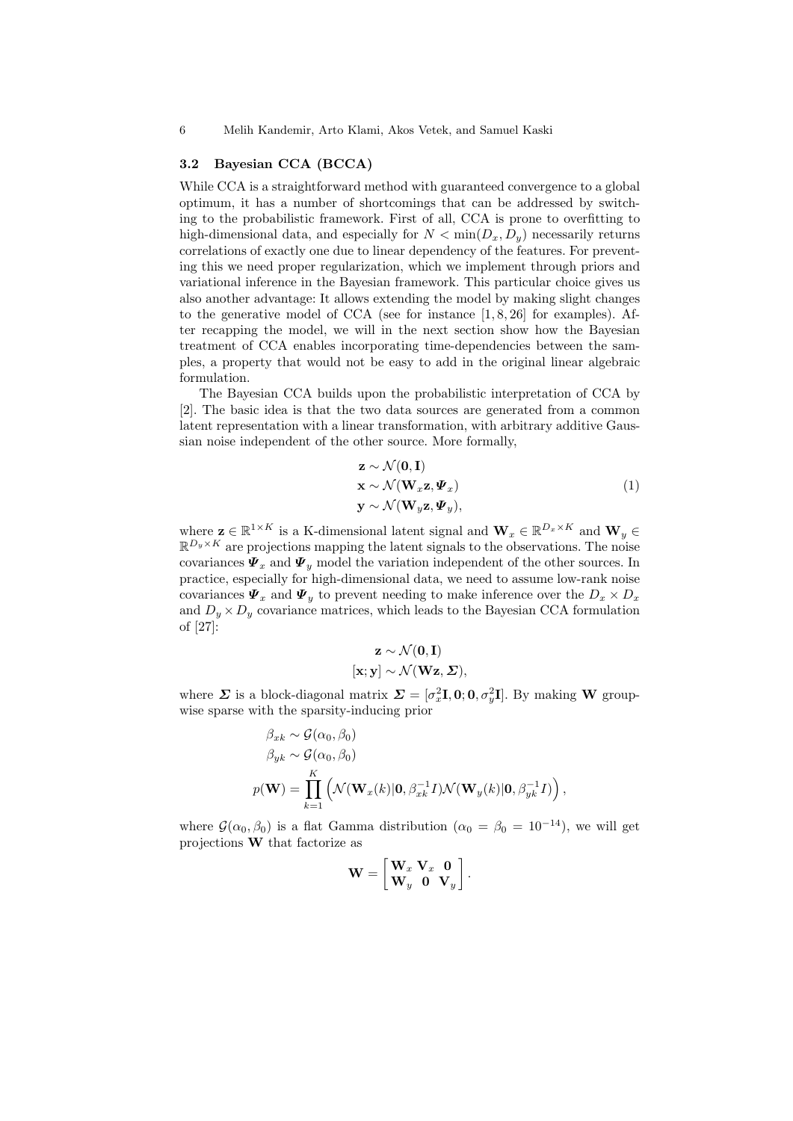#### **3.2 Bayesian CCA (BCCA)**

While CCA is a straightforward method with guaranteed convergence to a global optimum, it has a number of shortcomings that can be addressed by switching to the probabilistic framework. First of all, CCA is prone to overfitting to high-dimensional data, and especially for  $N < \min(D_x, D_y)$  necessarily returns correlations of exactly one due to linear dependency of the features. For preventing this we need proper regularization, which we implement through priors and variational inference in the Bayesian framework. This particular choice gives us also another advantage: It allows extending the model by making slight changes to the generative model of CCA (see for instance [1, 8, 26] for examples). After recapping the model, we will in the next section show how the Bayesian treatment of CCA enables incorporating time-dependencies between the samples, a property that would not be easy to add in the original linear algebraic formulation.

The Bayesian CCA builds upon the probabilistic interpretation of CCA by [2]. The basic idea is that the two data sources are generated from a common latent representation with a linear transformation, with arbitrary additive Gaussian noise independent of the other source. More formally,

$$
\mathbf{z} \sim \mathcal{N}(\mathbf{0}, \mathbf{I}) \n\mathbf{x} \sim \mathcal{N}(\mathbf{W}_x \mathbf{z}, \boldsymbol{\Psi}_x) \n\mathbf{y} \sim \mathcal{N}(\mathbf{W}_y \mathbf{z}, \boldsymbol{\Psi}_y),
$$
\n(1)

where  $\mathbf{z} \in \mathbb{R}^{1 \times K}$  is a K-dimensional latent signal and  $\mathbf{W}_x \in \mathbb{R}^{D_x \times K}$  and  $\mathbf{W}_y \in \mathbb{R}^{D_x \times K}$  $\mathbb{R}^{D_y \times K}$  are projections mapping the latent signals to the observations. The noise covariances  $\Psi_x$  and  $\Psi_y$  model the variation independent of the other sources. In practice, especially for high-dimensional data, we need to assume low-rank noise covariances  $\Psi_x$  and  $\Psi_y$  to prevent needing to make inference over the  $D_x \times D_x$ and  $D_y \times D_y$  covariance matrices, which leads to the Bayesian CCA formulation of [27]:

$$
\mathbf{z} \sim \mathcal{N}(\mathbf{0}, \mathbf{I})
$$

$$
[\mathbf{x}; \mathbf{y}] \sim \mathcal{N}(\mathbf{Wz}, \Sigma),
$$

where  $\Sigma$  is a block-diagonal matrix  $\Sigma = [\sigma_x^2 \mathbf{I}, \mathbf{0}; \mathbf{0}, \sigma_y^2 \mathbf{I}]$ . By making **W** groupwise sparse with the sparsity-inducing prior

$$
\beta_{xk} \sim \mathcal{G}(\alpha_0, \beta_0)
$$
  
\n
$$
\beta_{yk} \sim \mathcal{G}(\alpha_0, \beta_0)
$$
  
\n
$$
p(\mathbf{W}) = \prod_{k=1}^K \left( \mathcal{N}(\mathbf{W}_x(k)|\mathbf{0}, \beta_{xk}^{-1}I) \mathcal{N}(\mathbf{W}_y(k)|\mathbf{0}, \beta_{yk}^{-1}I) \right),
$$

where  $\mathcal{G}(\alpha_0, \beta_0)$  is a flat Gamma distribution ( $\alpha_0 = \beta_0 = 10^{-14}$ ), we will get projections **W** that factorize as

$$
\mathbf{W} = \begin{bmatrix} \mathbf{W}_x \ \mathbf{V}_x \ \mathbf{0} \\ \mathbf{W}_y \ \mathbf{0} \ \mathbf{V}_y \end{bmatrix}.
$$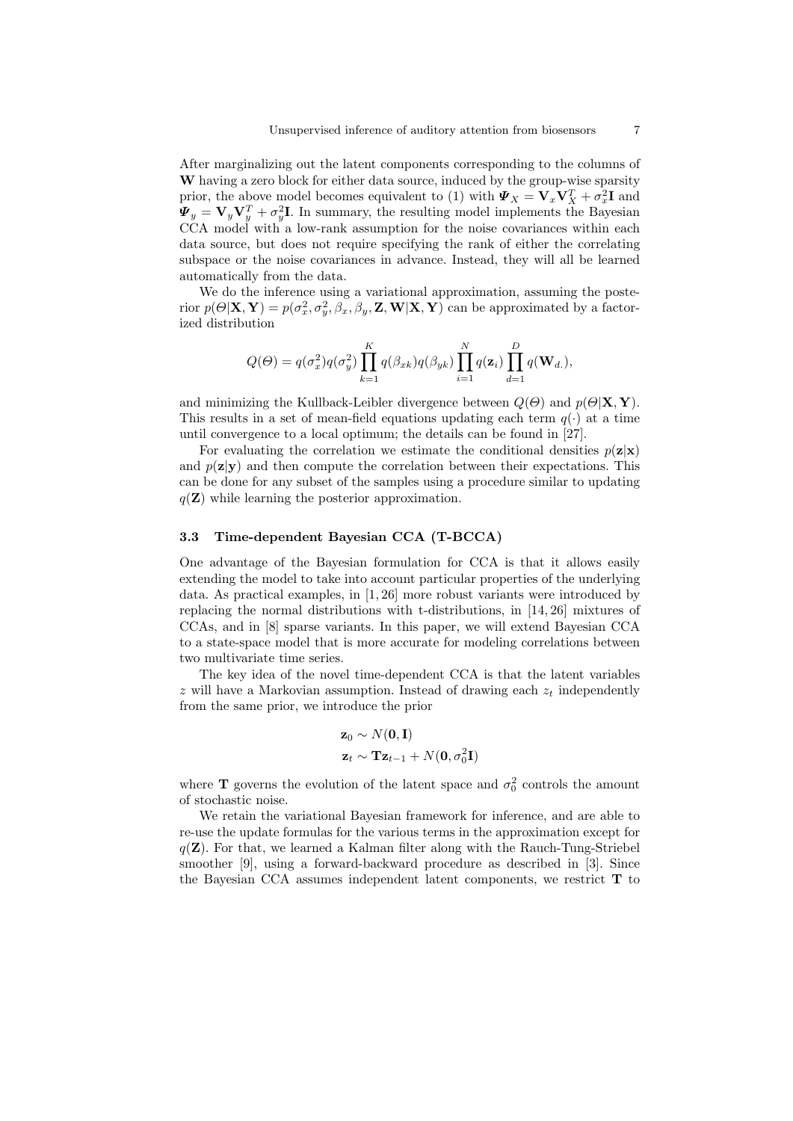After marginalizing out the latent components corresponding to the columns of **W** having a zero block for either data source, induced by the group-wise sparsity prior, the above model becomes equivalent to (1) with  $\Psi_X = \mathbf{V}_x \mathbf{V}_X^T + \sigma_x^2 \mathbf{I}$  and  $\Psi_y = \nabla_y \nabla_y^T + \sigma_y^2 \mathbf{I}$ . In summary, the resulting model implements the Bayesian CCA model with a low-rank assumption for the noise covariances within each data source, but does not require specifying the rank of either the correlating subspace or the noise covariances in advance. Instead, they will all be learned automatically from the data.

We do the inference using a variational approximation, assuming the posterior  $p(\Theta|\mathbf{X}, \mathbf{Y}) = p(\sigma_x^2, \sigma_y^2, \beta_x, \beta_y, \mathbf{Z}, \mathbf{W}|\mathbf{X}, \mathbf{Y})$  can be approximated by a factorized distribution

$$
Q(\Theta) = q(\sigma_x^2)q(\sigma_y^2)\prod_{k=1}^K q(\beta_{xk})q(\beta_{yk})\prod_{i=1}^N q(\mathbf{z}_i)\prod_{d=1}^D q(\mathbf{W}_{d.}),
$$

and minimizing the Kullback-Leibler divergence between  $Q(\theta)$  and  $p(\theta|\mathbf{X}, \mathbf{Y})$ . This results in a set of mean-field equations updating each term  $q(\cdot)$  at a time until convergence to a local optimum; the details can be found in [27].

For evaluating the correlation we estimate the conditional densities  $p(\mathbf{z}|\mathbf{x})$ and  $p(\mathbf{z}|\mathbf{y})$  and then compute the correlation between their expectations. This can be done for any subset of the samples using a procedure similar to updating *q*(**Z**) while learning the posterior approximation.

#### **3.3 Time-dependent Bayesian CCA (T-BCCA)**

One advantage of the Bayesian formulation for CCA is that it allows easily extending the model to take into account particular properties of the underlying data. As practical examples, in [1, 26] more robust variants were introduced by replacing the normal distributions with t-distributions, in [14, 26] mixtures of CCAs, and in [8] sparse variants. In this paper, we will extend Bayesian CCA to a state-space model that is more accurate for modeling correlations between two multivariate time series.

The key idea of the novel time-dependent CCA is that the latent variables *z* will have a Markovian assumption. Instead of drawing each *z<sup>t</sup>* independently from the same prior, we introduce the prior

$$
\mathbf{z}_0 \sim N(\mathbf{0}, \mathbf{I})
$$
  

$$
\mathbf{z}_t \sim \mathbf{T} \mathbf{z}_{t-1} + N(\mathbf{0}, \sigma_0^2 \mathbf{I})
$$

where **T** governs the evolution of the latent space and  $\sigma_0^2$  controls the amount of stochastic noise.

We retain the variational Bayesian framework for inference, and are able to re-use the update formulas for the various terms in the approximation except for  $q(\mathbf{Z})$ . For that, we learned a Kalman filter along with the Rauch-Tung-Striebel smoother [9], using a forward-backward procedure as described in [3]. Since the Bayesian CCA assumes independent latent components, we restrict **T** to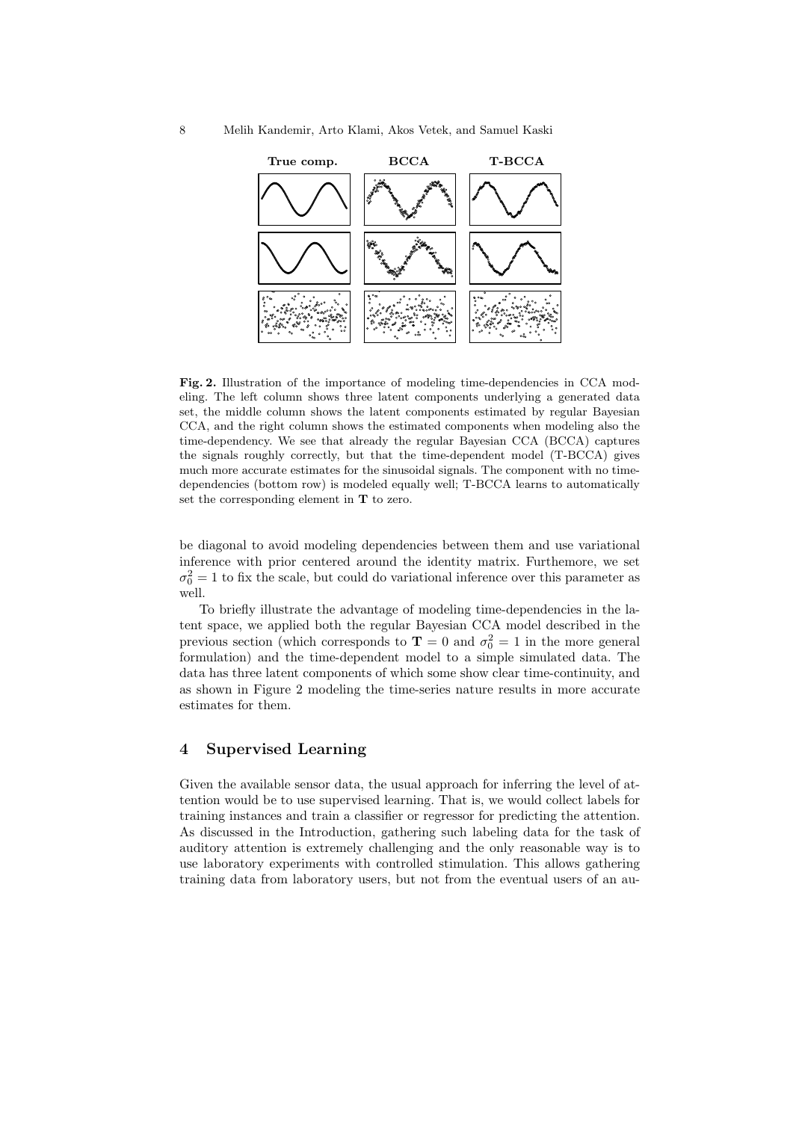

**Fig. 2.** Illustration of the importance of modeling time-dependencies in CCA modeling. The left column shows three latent components underlying a generated data set, the middle column shows the latent components estimated by regular Bayesian CCA, and the right column shows the estimated components when modeling also the time-dependency. We see that already the regular Bayesian CCA (BCCA) captures the signals roughly correctly, but that the time-dependent model (T-BCCA) gives much more accurate estimates for the sinusoidal signals. The component with no timedependencies (bottom row) is modeled equally well; T-BCCA learns to automatically set the corresponding element in **T** to zero.

be diagonal to avoid modeling dependencies between them and use variational inference with prior centered around the identity matrix. Furthemore, we set  $\sigma_0^2 = 1$  to fix the scale, but could do variational inference over this parameter as well.

To briefly illustrate the advantage of modeling time-dependencies in the latent space, we applied both the regular Bayesian CCA model described in the previous section (which corresponds to  $T = 0$  and  $\sigma_0^2 = 1$  in the more general formulation) and the time-dependent model to a simple simulated data. The data has three latent components of which some show clear time-continuity, and as shown in Figure 2 modeling the time-series nature results in more accurate estimates for them.

# **4 Supervised Learning**

Given the available sensor data, the usual approach for inferring the level of attention would be to use supervised learning. That is, we would collect labels for training instances and train a classifier or regressor for predicting the attention. As discussed in the Introduction, gathering such labeling data for the task of auditory attention is extremely challenging and the only reasonable way is to use laboratory experiments with controlled stimulation. This allows gathering training data from laboratory users, but not from the eventual users of an au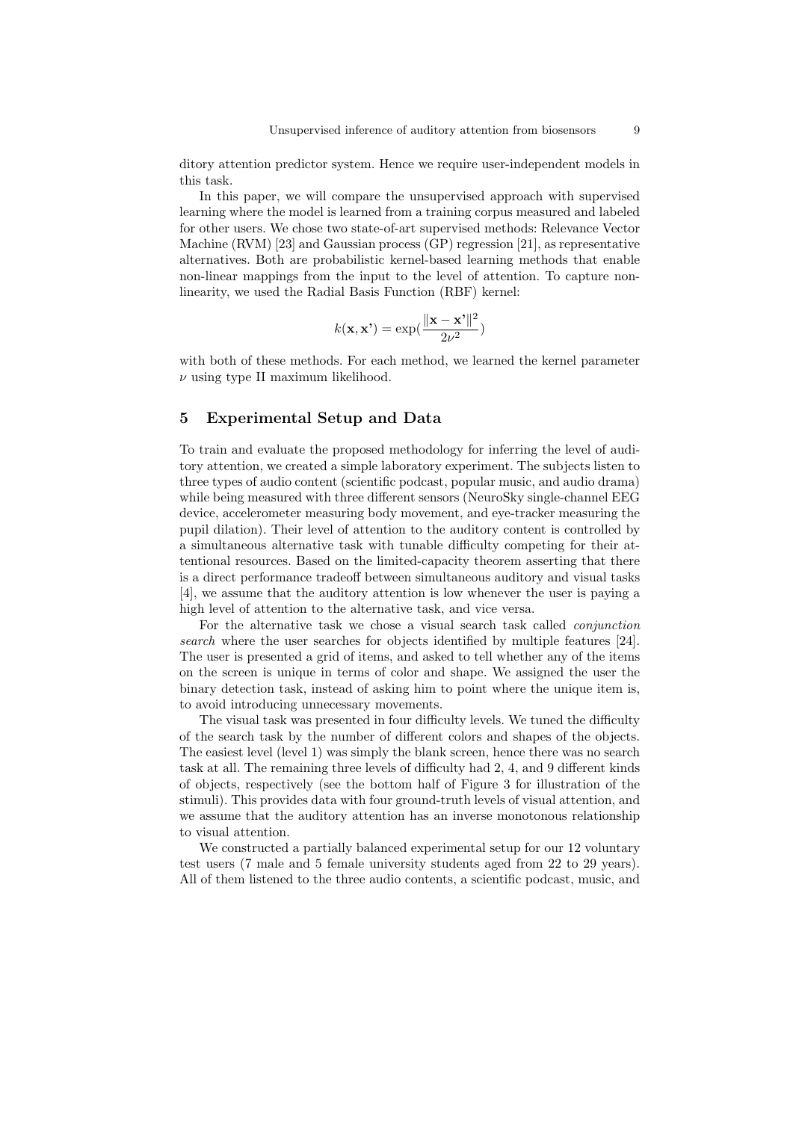ditory attention predictor system. Hence we require user-independent models in this task.

In this paper, we will compare the unsupervised approach with supervised learning where the model is learned from a training corpus measured and labeled for other users. We chose two state-of-art supervised methods: Relevance Vector Machine (RVM) [23] and Gaussian process (GP) regression [21], as representative alternatives. Both are probabilistic kernel-based learning methods that enable non-linear mappings from the input to the level of attention. To capture nonlinearity, we used the Radial Basis Function (RBF) kernel:

$$
k(\mathbf{x}, \mathbf{x'}) = \exp(\frac{\|\mathbf{x} - \mathbf{x'}\|^2}{2\nu^2})
$$

with both of these methods. For each method, we learned the kernel parameter *ν* using type II maximum likelihood.

# **5 Experimental Setup and Data**

To train and evaluate the proposed methodology for inferring the level of auditory attention, we created a simple laboratory experiment. The subjects listen to three types of audio content (scientific podcast, popular music, and audio drama) while being measured with three different sensors (NeuroSky single-channel EEG device, accelerometer measuring body movement, and eye-tracker measuring the pupil dilation). Their level of attention to the auditory content is controlled by a simultaneous alternative task with tunable difficulty competing for their attentional resources. Based on the limited-capacity theorem asserting that there is a direct performance tradeoff between simultaneous auditory and visual tasks [4], we assume that the auditory attention is low whenever the user is paying a high level of attention to the alternative task, and vice versa.

For the alternative task we chose a visual search task called *conjunction search* where the user searches for objects identified by multiple features [24]. The user is presented a grid of items, and asked to tell whether any of the items on the screen is unique in terms of color and shape. We assigned the user the binary detection task, instead of asking him to point where the unique item is, to avoid introducing unnecessary movements.

The visual task was presented in four difficulty levels. We tuned the difficulty of the search task by the number of different colors and shapes of the objects. The easiest level (level 1) was simply the blank screen, hence there was no search task at all. The remaining three levels of difficulty had 2, 4, and 9 different kinds of objects, respectively (see the bottom half of Figure 3 for illustration of the stimuli). This provides data with four ground-truth levels of visual attention, and we assume that the auditory attention has an inverse monotonous relationship to visual attention.

We constructed a partially balanced experimental setup for our 12 voluntary test users (7 male and 5 female university students aged from 22 to 29 years). All of them listened to the three audio contents, a scientific podcast, music, and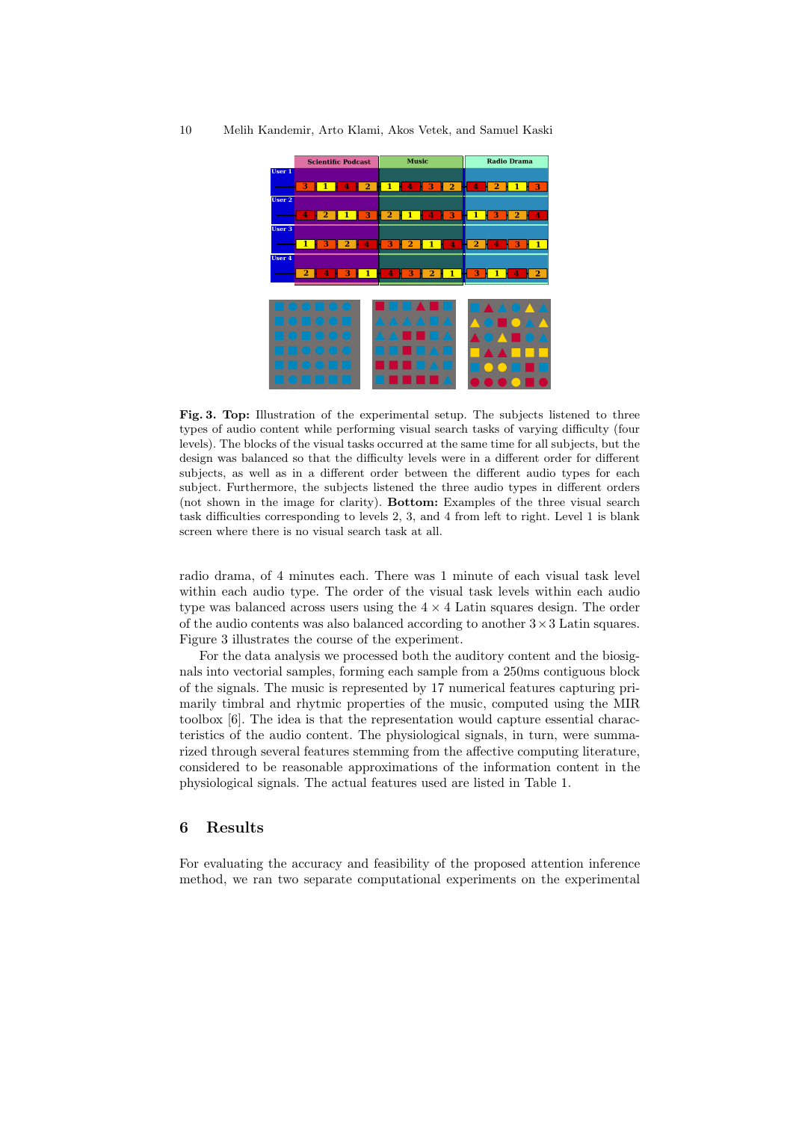

**Fig. 3. Top:** Illustration of the experimental setup. The subjects listened to three types of audio content while performing visual search tasks of varying difficulty (four levels). The blocks of the visual tasks occurred at the same time for all subjects, but the design was balanced so that the difficulty levels were in a different order for different subjects, as well as in a different order between the different audio types for each subject. Furthermore, the subjects listened the three audio types in different orders (not shown in the image for clarity). **Bottom:** Examples of the three visual search task difficulties corresponding to levels 2, 3, and 4 from left to right. Level 1 is blank screen where there is no visual search task at all.

radio drama, of 4 minutes each. There was 1 minute of each visual task level within each audio type. The order of the visual task levels within each audio type was balanced across users using the  $4 \times 4$  Latin squares design. The order of the audio contents was also balanced according to another 3*×*3 Latin squares. Figure 3 illustrates the course of the experiment.

For the data analysis we processed both the auditory content and the biosignals into vectorial samples, forming each sample from a 250ms contiguous block of the signals. The music is represented by 17 numerical features capturing primarily timbral and rhytmic properties of the music, computed using the MIR toolbox [6]. The idea is that the representation would capture essential characteristics of the audio content. The physiological signals, in turn, were summarized through several features stemming from the affective computing literature, considered to be reasonable approximations of the information content in the physiological signals. The actual features used are listed in Table 1.

# **6 Results**

For evaluating the accuracy and feasibility of the proposed attention inference method, we ran two separate computational experiments on the experimental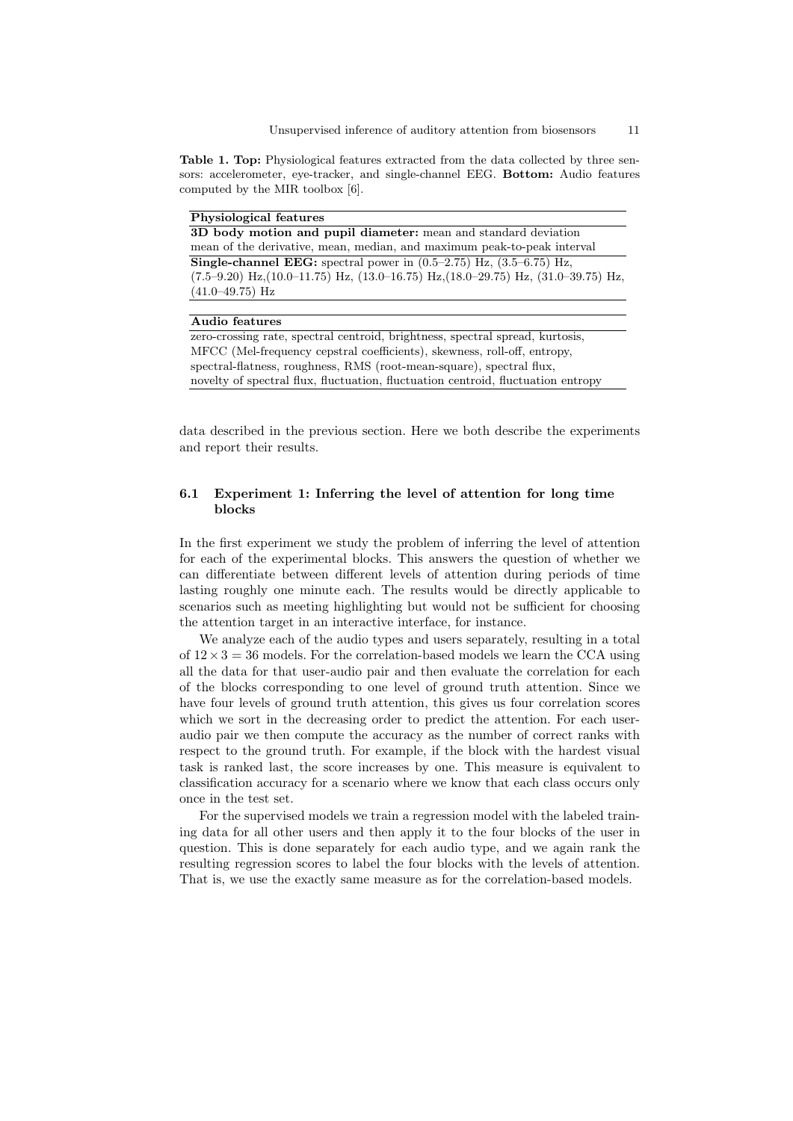**Table 1. Top:** Physiological features extracted from the data collected by three sensors: accelerometer, eye-tracker, and single-channel EEG. **Bottom:** Audio features computed by the MIR toolbox [6].

**Physiological features**

**3D body motion and pupil diameter:** mean and standard deviation mean of the derivative, mean, median, and maximum peak-to-peak interval **Single-channel EEG:** spectral power in (0.5–2.75) Hz, (3.5–6.75) Hz,  $(7.5-9.20)$  Hz, $(10.0-11.75)$  Hz, $(13.0-16.75)$  Hz, $(18.0-29.75)$  Hz, $(31.0-39.75)$  Hz, (41.0–49.75) Hz

#### **Audio features**

zero-crossing rate, spectral centroid, brightness, spectral spread, kurtosis, MFCC (Mel-frequency cepstral coefficients), skewness, roll-off, entropy, spectral-flatness, roughness, RMS (root-mean-square), spectral flux, novelty of spectral flux, fluctuation, fluctuation centroid, fluctuation entropy

data described in the previous section. Here we both describe the experiments and report their results.

### **6.1 Experiment 1: Inferring the level of attention for long time blocks**

In the first experiment we study the problem of inferring the level of attention for each of the experimental blocks. This answers the question of whether we can differentiate between different levels of attention during periods of time lasting roughly one minute each. The results would be directly applicable to scenarios such as meeting highlighting but would not be sufficient for choosing the attention target in an interactive interface, for instance.

We analyze each of the audio types and users separately, resulting in a total of  $12 \times 3 = 36$  models. For the correlation-based models we learn the CCA using all the data for that user-audio pair and then evaluate the correlation for each of the blocks corresponding to one level of ground truth attention. Since we have four levels of ground truth attention, this gives us four correlation scores which we sort in the decreasing order to predict the attention. For each useraudio pair we then compute the accuracy as the number of correct ranks with respect to the ground truth. For example, if the block with the hardest visual task is ranked last, the score increases by one. This measure is equivalent to classification accuracy for a scenario where we know that each class occurs only once in the test set.

For the supervised models we train a regression model with the labeled training data for all other users and then apply it to the four blocks of the user in question. This is done separately for each audio type, and we again rank the resulting regression scores to label the four blocks with the levels of attention. That is, we use the exactly same measure as for the correlation-based models.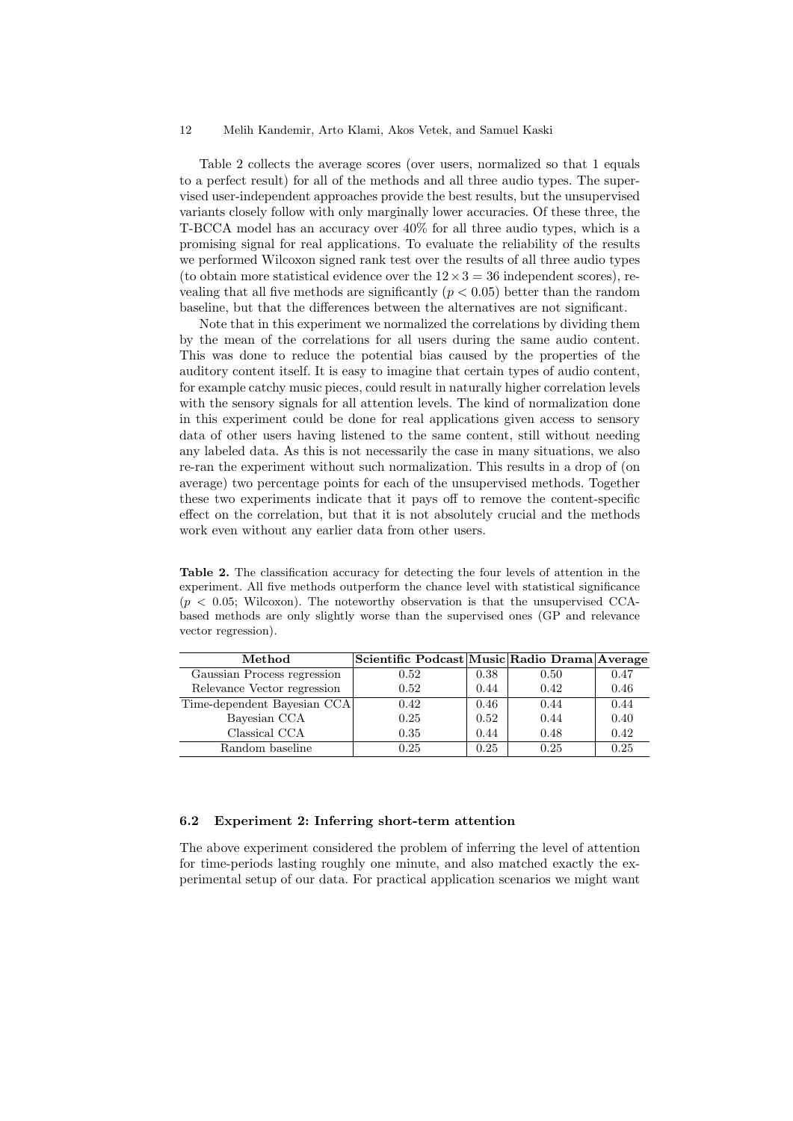Table 2 collects the average scores (over users, normalized so that 1 equals to a perfect result) for all of the methods and all three audio types. The supervised user-independent approaches provide the best results, but the unsupervised variants closely follow with only marginally lower accuracies. Of these three, the T-BCCA model has an accuracy over 40% for all three audio types, which is a promising signal for real applications. To evaluate the reliability of the results we performed Wilcoxon signed rank test over the results of all three audio types (to obtain more statistical evidence over the  $12 \times 3 = 36$  independent scores), revealing that all five methods are significantly  $(p < 0.05)$  better than the random baseline, but that the differences between the alternatives are not significant.

Note that in this experiment we normalized the correlations by dividing them by the mean of the correlations for all users during the same audio content. This was done to reduce the potential bias caused by the properties of the auditory content itself. It is easy to imagine that certain types of audio content, for example catchy music pieces, could result in naturally higher correlation levels with the sensory signals for all attention levels. The kind of normalization done in this experiment could be done for real applications given access to sensory data of other users having listened to the same content, still without needing any labeled data. As this is not necessarily the case in many situations, we also re-ran the experiment without such normalization. This results in a drop of (on average) two percentage points for each of the unsupervised methods. Together these two experiments indicate that it pays off to remove the content-specific effect on the correlation, but that it is not absolutely crucial and the methods work even without any earlier data from other users.

**Table 2.** The classification accuracy for detecting the four levels of attention in the experiment. All five methods outperform the chance level with statistical significance  $(p < 0.05;$  Wilcoxon). The noteworthy observation is that the unsupervised CCAbased methods are only slightly worse than the supervised ones (GP and relevance vector regression).

| Method                      | Scientific Podcast Music Radio Drama Average |      |      |      |
|-----------------------------|----------------------------------------------|------|------|------|
| Gaussian Process regression | 0.52                                         | 0.38 | 0.50 | 0.47 |
| Relevance Vector regression | 0.52                                         | 0.44 | 0.42 | 0.46 |
| Time-dependent Bayesian CCA | 0.42                                         | 0.46 | 0.44 | 0.44 |
| Bayesian CCA                | 0.25                                         | 0.52 | 0.44 | 0.40 |
| Classical CCA               | 0.35                                         | 0.44 | 0.48 | 0.42 |
| Random baseline             | 0.25                                         | 0.25 | 0.25 | 0.25 |

#### **6.2 Experiment 2: Inferring short-term attention**

The above experiment considered the problem of inferring the level of attention for time-periods lasting roughly one minute, and also matched exactly the experimental setup of our data. For practical application scenarios we might want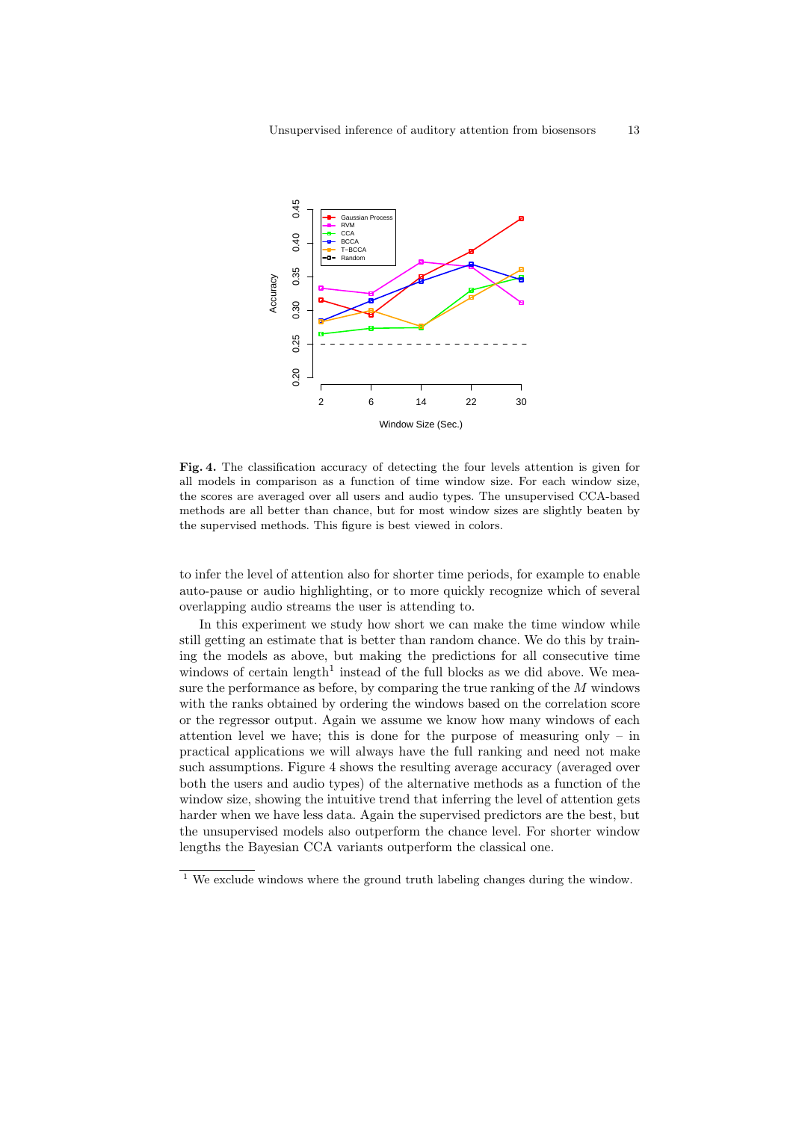

**Fig. 4.** The classification accuracy of detecting the four levels attention is given for all models in comparison as a function of time window size. For each window size, the scores are averaged over all users and audio types. The unsupervised CCA-based methods are all better than chance, but for most window sizes are slightly beaten by the supervised methods. This figure is best viewed in colors.

to infer the level of attention also for shorter time periods, for example to enable auto-pause or audio highlighting, or to more quickly recognize which of several overlapping audio streams the user is attending to.

In this experiment we study how short we can make the time window while still getting an estimate that is better than random chance. We do this by training the models as above, but making the predictions for all consecutive time windows of certain length<sup>1</sup> instead of the full blocks as we did above. We measure the performance as before, by comparing the true ranking of the *M* windows with the ranks obtained by ordering the windows based on the correlation score or the regressor output. Again we assume we know how many windows of each attention level we have; this is done for the purpose of measuring only – in practical applications we will always have the full ranking and need not make such assumptions. Figure 4 shows the resulting average accuracy (averaged over both the users and audio types) of the alternative methods as a function of the window size, showing the intuitive trend that inferring the level of attention gets harder when we have less data. Again the supervised predictors are the best, but the unsupervised models also outperform the chance level. For shorter window lengths the Bayesian CCA variants outperform the classical one.

 $1$  We exclude windows where the ground truth labeling changes during the window.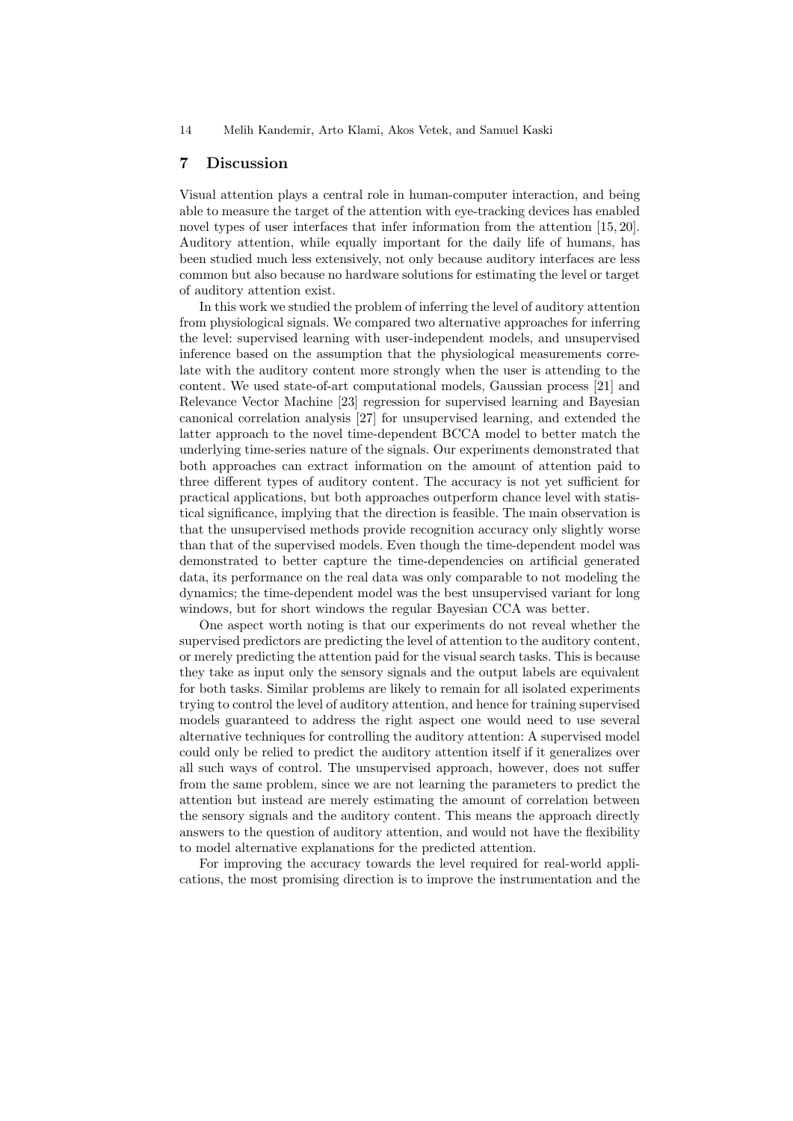#### **7 Discussion**

Visual attention plays a central role in human-computer interaction, and being able to measure the target of the attention with eye-tracking devices has enabled novel types of user interfaces that infer information from the attention [15, 20]. Auditory attention, while equally important for the daily life of humans, has been studied much less extensively, not only because auditory interfaces are less common but also because no hardware solutions for estimating the level or target of auditory attention exist.

In this work we studied the problem of inferring the level of auditory attention from physiological signals. We compared two alternative approaches for inferring the level: supervised learning with user-independent models, and unsupervised inference based on the assumption that the physiological measurements correlate with the auditory content more strongly when the user is attending to the content. We used state-of-art computational models, Gaussian process [21] and Relevance Vector Machine [23] regression for supervised learning and Bayesian canonical correlation analysis [27] for unsupervised learning, and extended the latter approach to the novel time-dependent BCCA model to better match the underlying time-series nature of the signals. Our experiments demonstrated that both approaches can extract information on the amount of attention paid to three different types of auditory content. The accuracy is not yet sufficient for practical applications, but both approaches outperform chance level with statistical significance, implying that the direction is feasible. The main observation is that the unsupervised methods provide recognition accuracy only slightly worse than that of the supervised models. Even though the time-dependent model was demonstrated to better capture the time-dependencies on artificial generated data, its performance on the real data was only comparable to not modeling the dynamics; the time-dependent model was the best unsupervised variant for long windows, but for short windows the regular Bayesian CCA was better.

One aspect worth noting is that our experiments do not reveal whether the supervised predictors are predicting the level of attention to the auditory content, or merely predicting the attention paid for the visual search tasks. This is because they take as input only the sensory signals and the output labels are equivalent for both tasks. Similar problems are likely to remain for all isolated experiments trying to control the level of auditory attention, and hence for training supervised models guaranteed to address the right aspect one would need to use several alternative techniques for controlling the auditory attention: A supervised model could only be relied to predict the auditory attention itself if it generalizes over all such ways of control. The unsupervised approach, however, does not suffer from the same problem, since we are not learning the parameters to predict the attention but instead are merely estimating the amount of correlation between the sensory signals and the auditory content. This means the approach directly answers to the question of auditory attention, and would not have the flexibility to model alternative explanations for the predicted attention.

For improving the accuracy towards the level required for real-world applications, the most promising direction is to improve the instrumentation and the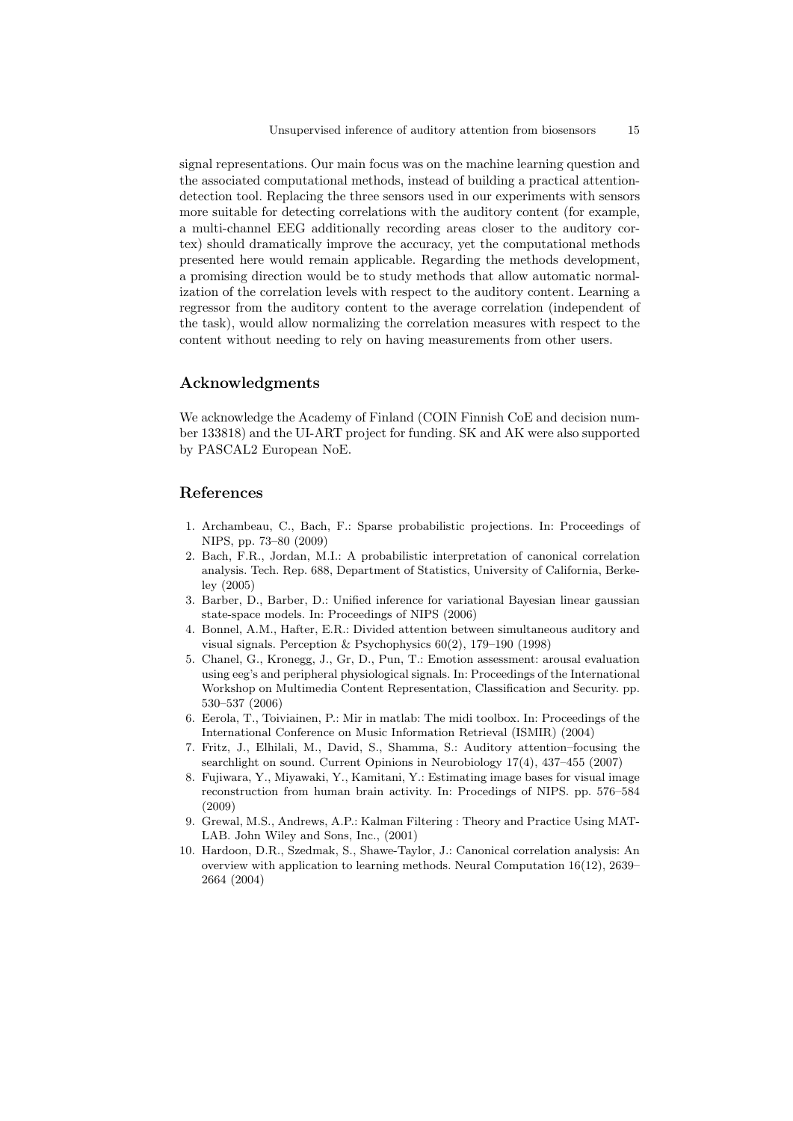signal representations. Our main focus was on the machine learning question and the associated computational methods, instead of building a practical attentiondetection tool. Replacing the three sensors used in our experiments with sensors more suitable for detecting correlations with the auditory content (for example, a multi-channel EEG additionally recording areas closer to the auditory cortex) should dramatically improve the accuracy, yet the computational methods presented here would remain applicable. Regarding the methods development, a promising direction would be to study methods that allow automatic normalization of the correlation levels with respect to the auditory content. Learning a regressor from the auditory content to the average correlation (independent of the task), would allow normalizing the correlation measures with respect to the content without needing to rely on having measurements from other users.

## **Acknowledgments**

We acknowledge the Academy of Finland (COIN Finnish CoE and decision number 133818) and the UI-ART project for funding. SK and AK were also supported by PASCAL2 European NoE.

# **References**

- 1. Archambeau, C., Bach, F.: Sparse probabilistic projections. In: Proceedings of NIPS, pp. 73–80 (2009)
- 2. Bach, F.R., Jordan, M.I.: A probabilistic interpretation of canonical correlation analysis. Tech. Rep. 688, Department of Statistics, University of California, Berkeley (2005)
- 3. Barber, D., Barber, D.: Unified inference for variational Bayesian linear gaussian state-space models. In: Proceedings of NIPS (2006)
- 4. Bonnel, A.M., Hafter, E.R.: Divided attention between simultaneous auditory and visual signals. Perception & Psychophysics 60(2), 179–190 (1998)
- 5. Chanel, G., Kronegg, J., Gr, D., Pun, T.: Emotion assessment: arousal evaluation using eeg's and peripheral physiological signals. In: Proceedings of the International Workshop on Multimedia Content Representation, Classification and Security. pp. 530–537 (2006)
- 6. Eerola, T., Toiviainen, P.: Mir in matlab: The midi toolbox. In: Proceedings of the International Conference on Music Information Retrieval (ISMIR) (2004)
- 7. Fritz, J., Elhilali, M., David, S., Shamma, S.: Auditory attention–focusing the searchlight on sound. Current Opinions in Neurobiology 17(4), 437–455 (2007)
- 8. Fujiwara, Y., Miyawaki, Y., Kamitani, Y.: Estimating image bases for visual image reconstruction from human brain activity. In: Procedings of NIPS. pp. 576–584 (2009)
- 9. Grewal, M.S., Andrews, A.P.: Kalman Filtering : Theory and Practice Using MAT-LAB. John Wiley and Sons, Inc., (2001)
- 10. Hardoon, D.R., Szedmak, S., Shawe-Taylor, J.: Canonical correlation analysis: An overview with application to learning methods. Neural Computation 16(12), 2639– 2664 (2004)